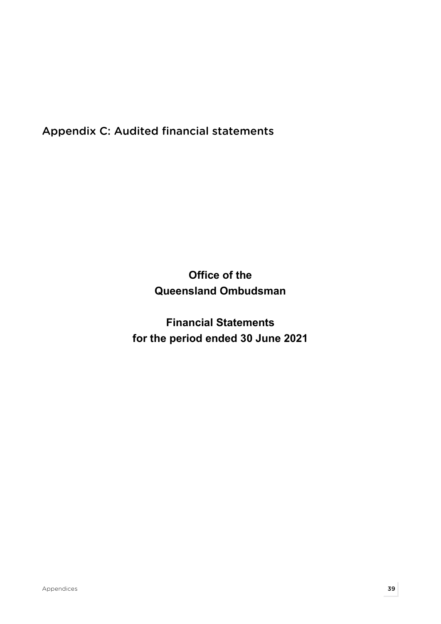Appendix C: Audited financial statements

Office of the Queensland Ombudsman

Financial Statements for the period ended 30 June 2021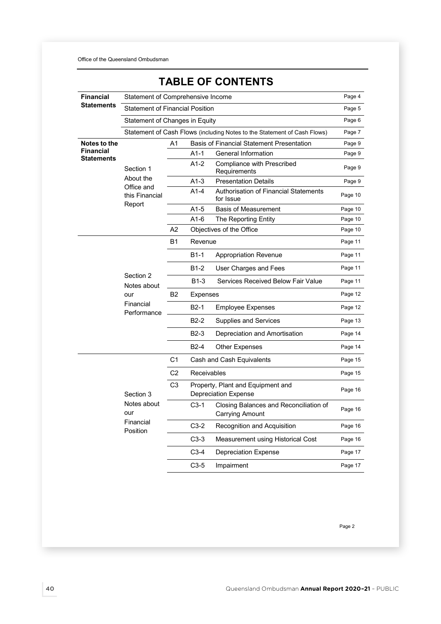| <b>Financial</b>                      | Statement of Comprehensive Income                           |                |             |                                                                          | Page 4  |
|---------------------------------------|-------------------------------------------------------------|----------------|-------------|--------------------------------------------------------------------------|---------|
| <b>Statements</b>                     | <b>Statement of Financial Position</b>                      |                |             |                                                                          | Page 5  |
|                                       | Statement of Changes in Equity                              |                |             |                                                                          | Page 6  |
|                                       |                                                             |                |             | Statement of Cash Flows (including Notes to the Statement of Cash Flows) | Page 7  |
| Notes to the                          |                                                             | A1             |             | <b>Basis of Financial Statement Presentation</b>                         | Page 9  |
| <b>Financial</b><br><b>Statements</b> |                                                             |                | A1-1        | General Information                                                      | Page 9  |
|                                       | Section 1                                                   |                | A1-2        | Compliance with Prescribed<br>Requirements                               | Page 9  |
|                                       | About the<br>Office and                                     |                | $A1-3$      | <b>Presentation Details</b>                                              | Page 9  |
|                                       | this Financial<br>Report                                    |                | $A1-4$      | Authorisation of Financial Statements<br>for Issue                       | Page 10 |
|                                       |                                                             |                | $A1-5$      | <b>Basis of Measurement</b>                                              | Page 10 |
|                                       |                                                             |                | A1-6        | The Reporting Entity                                                     | Page 10 |
|                                       |                                                             | A2             |             | Objectives of the Office                                                 | Page 10 |
|                                       |                                                             | <b>B1</b>      | Revenue     |                                                                          | Page 11 |
|                                       |                                                             |                | B1-1        | Appropriation Revenue                                                    | Page 11 |
|                                       | Section 2<br>Notes about<br>our<br>Financial<br>Performance |                | B1-2        | User Charges and Fees                                                    | Page 11 |
|                                       |                                                             |                | B1-3        | Services Received Below Fair Value                                       | Page 11 |
|                                       |                                                             | <b>B2</b>      | Expenses    |                                                                          | Page 12 |
|                                       |                                                             |                | $B2-1$      | Employee Expenses                                                        | Page 12 |
|                                       |                                                             |                | $B2-2$      | Supplies and Services                                                    | Page 13 |
|                                       |                                                             |                | B2-3        | Depreciation and Amortisation                                            | Page 14 |
|                                       |                                                             |                | B2-4        | Other Expenses                                                           | Page 14 |
|                                       |                                                             | C <sub>1</sub> |             | Cash and Cash Equivalents                                                | Page 15 |
|                                       |                                                             | C <sub>2</sub> | Receivables |                                                                          | Page 15 |
|                                       | Section 3                                                   | C <sub>3</sub> |             | Property, Plant and Equipment and<br><b>Depreciation Expense</b>         | Page 16 |
|                                       | Notes about<br>our                                          |                | $C3-1$      | Closing Balances and Reconciliation of<br>Carrying Amount                | Page 16 |
|                                       | Financial<br>Position                                       |                | $C3-2$      | Recognition and Acquisition                                              | Page 16 |
|                                       |                                                             |                | $C3-3$      | Measurement using Historical Cost                                        | Page 16 |
|                                       |                                                             |                | $C3-4$      | Depreciation Expense                                                     | Page 17 |
|                                       |                                                             |                | $C3-5$      | Impairment                                                               | Page 17 |

# TABLE OF CONTENTS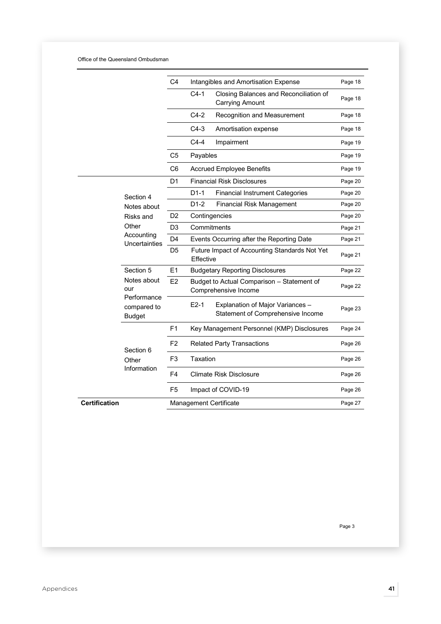## Office of the Queensland Ombudsman

|                      |                                             | C4             |           | Intangibles and Amortisation Expense                                  | Page 18 |
|----------------------|---------------------------------------------|----------------|-----------|-----------------------------------------------------------------------|---------|
|                      |                                             |                | $C4-1$    | Closing Balances and Reconciliation of<br><b>Carrying Amount</b>      | Page 18 |
|                      |                                             |                | $C4-2$    | Recognition and Measurement                                           | Page 18 |
|                      |                                             |                | $C4-3$    | Amortisation expense                                                  | Page 18 |
|                      |                                             |                | $C4-4$    | Impairment                                                            | Page 19 |
|                      |                                             | C5             | Payables  |                                                                       | Page 19 |
|                      |                                             | C6             |           | <b>Accrued Employee Benefits</b>                                      | Page 19 |
|                      |                                             | D1             |           | <b>Financial Risk Disclosures</b>                                     | Page 20 |
|                      | Section 4                                   |                | $D1-1$    | <b>Financial Instrument Categories</b>                                | Page 20 |
|                      | Notes about                                 |                | $D1-2$    | <b>Financial Risk Management</b>                                      | Page 20 |
| Risks and            |                                             | D <sub>2</sub> |           | Contingencies                                                         | Page 20 |
|                      | Other<br>Accounting<br>Uncertainties        | D <sub>3</sub> |           | Commitments                                                           | Page 21 |
|                      |                                             | D4             |           | Events Occurring after the Reporting Date                             | Page 21 |
|                      |                                             | D <sub>5</sub> | Effective | Future Impact of Accounting Standards Not Yet                         | Page 21 |
|                      | Section 5                                   | E1             |           | <b>Budgetary Reporting Disclosures</b>                                | Page 22 |
|                      | Notes about<br>our                          | E <sub>2</sub> |           | Budget to Actual Comparison - Statement of<br>Comprehensive Income    | Page 22 |
|                      | Performance<br>compared to<br><b>Budget</b> |                | $E2-1$    | Explanation of Major Variances -<br>Statement of Comprehensive Income | Page 23 |
|                      |                                             | F <sub>1</sub> |           | Key Management Personnel (KMP) Disclosures                            | Page 24 |
|                      |                                             | F <sub>2</sub> |           | <b>Related Party Transactions</b>                                     | Page 26 |
|                      | Section 6<br>Other                          | F <sub>3</sub> | Taxation  |                                                                       | Page 26 |
|                      | Information                                 | F4             |           | <b>Climate Risk Disclosure</b>                                        | Page 26 |
|                      |                                             | F5             |           | Impact of COVID-19                                                    | Page 26 |
| <b>Certification</b> |                                             |                |           | <b>Management Certificate</b>                                         | Page 27 |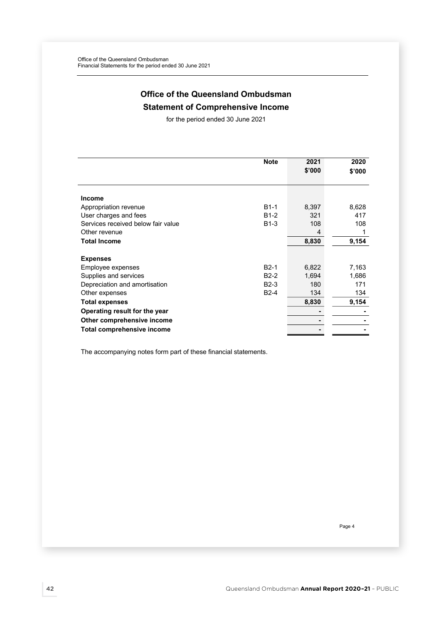# Office of the Queensland Ombudsman Statement of Comprehensive Income

for the period ended 30 June 2021

|                                    | <b>Note</b> | 2021   | 2020   |
|------------------------------------|-------------|--------|--------|
|                                    |             | \$'000 | \$'000 |
|                                    |             |        |        |
|                                    |             |        |        |
| <b>Income</b>                      |             |        |        |
| Appropriation revenue              | $B1-1$      | 8,397  | 8,628  |
| User charges and fees              | $B1-2$      | 321    | 417    |
| Services received below fair value | $B1-3$      | 108    | 108    |
| Other revenue                      |             | 4      |        |
| <b>Total Income</b>                |             | 8,830  | 9,154  |
|                                    |             |        |        |
| <b>Expenses</b>                    |             |        |        |
| Employee expenses                  | $B2-1$      | 6,822  | 7,163  |
| Supplies and services              | $B2-2$      | 1,694  | 1,686  |
| Depreciation and amortisation      | $B2-3$      | 180    | 171    |
| Other expenses                     | $B2-4$      | 134    | 134    |
| <b>Total expenses</b>              |             | 8,830  | 9,154  |
| Operating result for the year      |             |        |        |
| Other comprehensive income         |             |        |        |
| <b>Total comprehensive income</b>  |             |        |        |

The accompanying notes form part of these financial statements.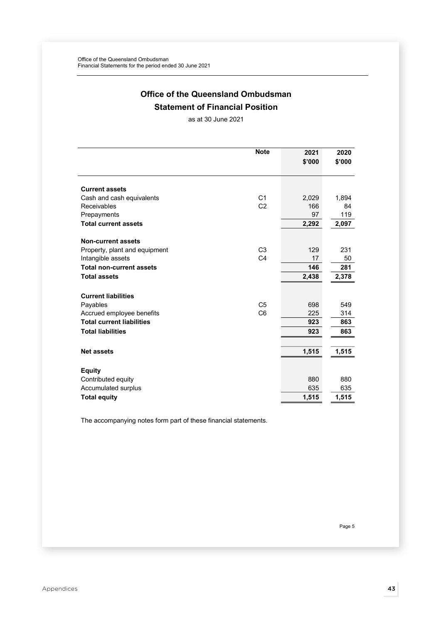# Office of the Queensland Ombudsman Statement of Financial Position

as at 30 June 2021

|                                  | <b>Note</b>    | 2021   | 2020   |
|----------------------------------|----------------|--------|--------|
|                                  |                | \$'000 | \$'000 |
|                                  |                |        |        |
|                                  |                |        |        |
| <b>Current assets</b>            |                |        |        |
| Cash and cash equivalents        | C <sub>1</sub> | 2,029  | 1,894  |
| Receivables                      | C <sub>2</sub> | 166    | 84     |
| Prepayments                      |                | 97     | 119    |
| <b>Total current assets</b>      |                | 2,292  | 2,097  |
| <b>Non-current assets</b>        |                |        |        |
| Property, plant and equipment    | C <sub>3</sub> | 129    | 231    |
| Intangible assets                | C <sub>4</sub> | 17     | 50     |
| <b>Total non-current assets</b>  |                | 146    | 281    |
| <b>Total assets</b>              |                | 2,438  | 2,378  |
|                                  |                |        |        |
| <b>Current liabilities</b>       |                |        |        |
| Payables                         | C <sub>5</sub> | 698    | 549    |
| Accrued employee benefits        | C <sub>6</sub> | 225    | 314    |
| <b>Total current liabilities</b> |                | 923    | 863    |
| <b>Total liabilities</b>         |                | 923    | 863    |
|                                  |                |        |        |
| <b>Net assets</b>                |                | 1,515  | 1,515  |
|                                  |                |        |        |
| <b>Equity</b>                    |                |        |        |
| Contributed equity               |                | 880    | 880    |
| Accumulated surplus              |                | 635    | 635    |
| <b>Total equity</b>              |                | 1,515  | 1,515  |

The accompanying notes form part of these financial statements.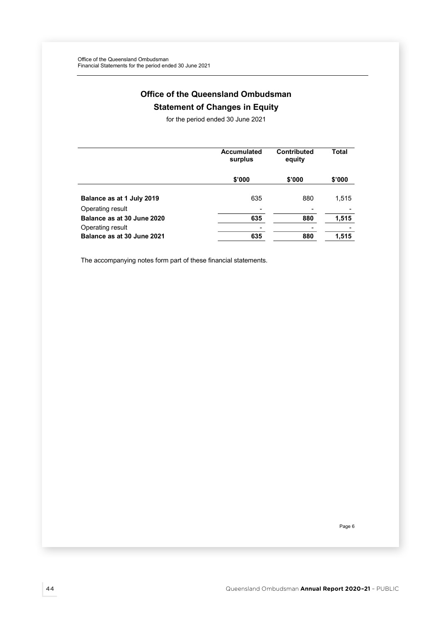# Office of the Queensland Ombudsman Statement of Changes in Equity

for the period ended 30 June 2021

|                            | <b>Accumulated</b><br>surplus | <b>Contributed</b><br>equity | Total                    |
|----------------------------|-------------------------------|------------------------------|--------------------------|
|                            | \$'000                        | \$'000                       | \$'000                   |
| Balance as at 1 July 2019  | 635                           | 880                          | 1,515                    |
| Operating result           |                               |                              |                          |
| Balance as at 30 June 2020 | 635                           | 880                          | 1,515                    |
| Operating result           |                               | -                            | $\overline{\phantom{0}}$ |
| Balance as at 30 June 2021 | 635                           | 880                          | 1,515                    |

The accompanying notes form part of these financial statements.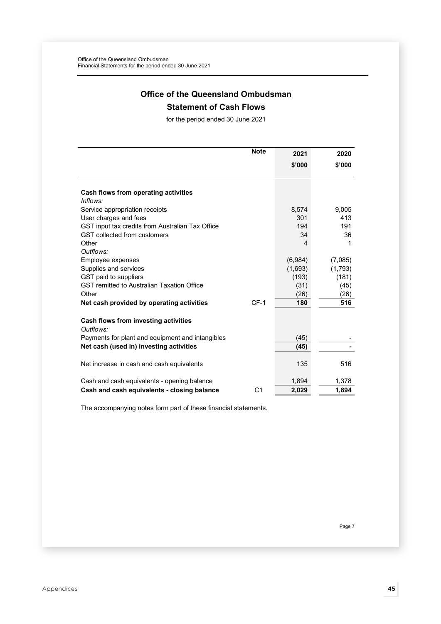# Office of the Queensland Ombudsman

# Statement of Cash Flows

for the period ended 30 June 2021

|                                                   | <b>Note</b>    | 2021    | 2020    |
|---------------------------------------------------|----------------|---------|---------|
|                                                   |                | \$'000  | \$'000  |
|                                                   |                |         |         |
|                                                   |                |         |         |
| Cash flows from operating activities<br>Inflows:  |                |         |         |
| Service appropriation receipts                    |                | 8,574   | 9,005   |
| User charges and fees                             |                | 301     | 413     |
| GST input tax credits from Australian Tax Office  |                | 194     | 191     |
| GST collected from customers                      |                | 34      | 36      |
| Other                                             |                | 4       | 1       |
| Outflows:                                         |                |         |         |
| Employee expenses                                 |                | (6,984) | (7,085) |
| Supplies and services                             |                | (1,693) | (1,793) |
| GST paid to suppliers                             |                | (193)   | (181)   |
| <b>GST remitted to Australian Taxation Office</b> |                | (31)    | (45)    |
| Other                                             |                | (26)    | (26)    |
| Net cash provided by operating activities         | $CF-1$         | 180     | 516     |
|                                                   |                |         |         |
| Cash flows from investing activities<br>Outflows: |                |         |         |
| Payments for plant and equipment and intangibles  |                | (45)    |         |
| Net cash (used in) investing activities           |                | (45)    |         |
|                                                   |                |         |         |
| Net increase in cash and cash equivalents         |                | 135     | 516     |
|                                                   |                |         |         |
| Cash and cash equivalents - opening balance       |                | 1,894   | 1,378   |
| Cash and cash equivalents - closing balance       | C <sub>1</sub> | 2,029   | 1,894   |

The accompanying notes form part of these financial statements.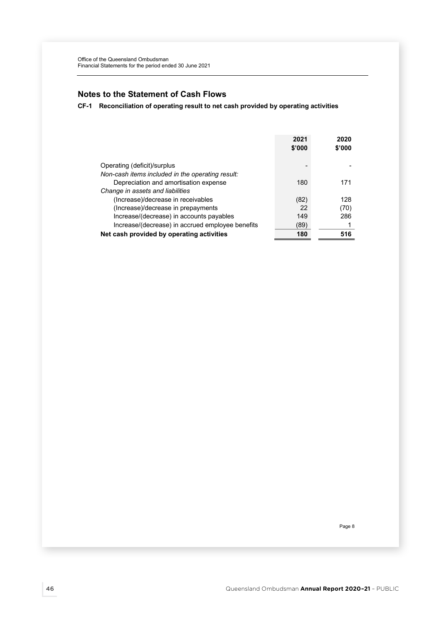# Notes to the Statement of Cash Flows

CF-1 Reconciliation of operating result to net cash provided by operating activities

|                                                  | 2021<br>\$'000 | 2020<br>\$'000 |
|--------------------------------------------------|----------------|----------------|
| Operating (deficit)/surplus                      |                |                |
| Non-cash items included in the operating result: |                |                |
| Depreciation and amortisation expense            | 180            | 171            |
| Change in assets and liabilities                 |                |                |
| (Increase)/decrease in receivables               | (82)           | 128            |
| (Increase)/decrease in prepayments               | 22             | (70)           |
| Increase/(decrease) in accounts payables         | 149            | 286            |
| Increase/(decrease) in accrued employee benefits | (89)           |                |
| Net cash provided by operating activities        | 180            | 516            |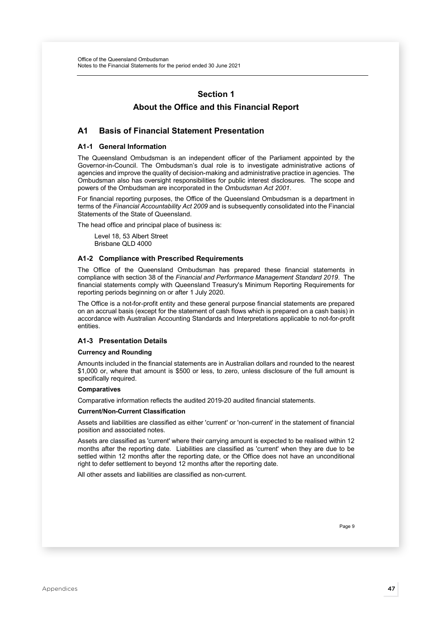# Section 1

# About the Office and this Financial Report

## A1 Basis of Financial Statement Presentation

### A1-1 General Information

The Queensland Ombudsman is an independent officer of the Parliament appointed by the Governor-in-Council. The Ombudsman's dual role is to investigate administrative actions of agencies and improve the quality of decision-making and administrative practice in agencies. The Ombudsman also has oversight responsibilities for public interest disclosures. The scope and powers of the Ombudsman are incorporated in the Ombudsman Act 2001.

For financial reporting purposes, the Office of the Queensland Ombudsman is a department in terms of the Financial Accountability Act 2009 and is subsequently consolidated into the Financial Statements of the State of Queensland.

The head office and principal place of business is:

Level 18, 53 Albert Street Brisbane QLD 4000

### A1-2 Compliance with Prescribed Requirements

The Office of the Queensland Ombudsman has prepared these financial statements in compliance with section 38 of the Financial and Performance Management Standard 2019. The financial statements comply with Queensland Treasury's Minimum Reporting Requirements for reporting periods beginning on or after 1 July 2020.

The Office is a not-for-profit entity and these general purpose financial statements are prepared on an accrual basis (except for the statement of cash flows which is prepared on a cash basis) in accordance with Australian Accounting Standards and Interpretations applicable to not-for-profit entities.

#### A1-3 Presentation Details

#### Currency and Rounding

Amounts included in the financial statements are in Australian dollars and rounded to the nearest \$1,000 or, where that amount is \$500 or less, to zero, unless disclosure of the full amount is specifically required.

#### **Comparatives**

Comparative information reflects the audited 2019-20 audited financial statements.

### Current/Non-Current Classification

Assets and liabilities are classified as either 'current' or 'non-current' in the statement of financial position and associated notes.

Assets are classified as 'current' where their carrying amount is expected to be realised within 12 months after the reporting date. Liabilities are classified as 'current' when they are due to be settled within 12 months after the reporting date, or the Office does not have an unconditional right to defer settlement to beyond 12 months after the reporting date.

All other assets and liabilities are classified as non-current.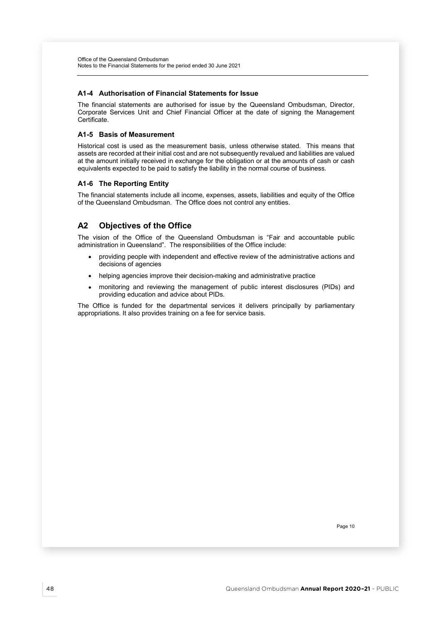### A1-4 Authorisation of Financial Statements for Issue

The financial statements are authorised for issue by the Queensland Ombudsman, Director, Corporate Services Unit and Chief Financial Officer at the date of signing the Management Certificate.

## A1-5 Basis of Measurement

Historical cost is used as the measurement basis, unless otherwise stated. This means that assets are recorded at their initial cost and are not subsequently revalued and liabilities are valued at the amount initially received in exchange for the obligation or at the amounts of cash or cash equivalents expected to be paid to satisfy the liability in the normal course of business.

### A1-6 The Reporting Entity

The financial statements include all income, expenses, assets, liabilities and equity of the Office of the Queensland Ombudsman. The Office does not control any entities.

# A2 Objectives of the Office

The vision of the Office of the Queensland Ombudsman is "Fair and accountable public administration in Queensland". The responsibilities of the Office include:

- providing people with independent and effective review of the administrative actions and decisions of agencies
- helping agencies improve their decision-making and administrative practice
- monitoring and reviewing the management of public interest disclosures (PIDs) and providing education and advice about PIDs.

The Office is funded for the departmental services it delivers principally by parliamentary appropriations. It also provides training on a fee for service basis.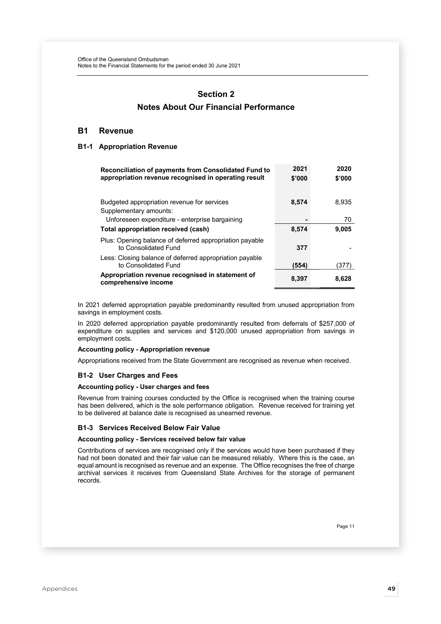# Section 2 Notes About Our Financial Performance

## B1 Revenue

## B1-1 Appropriation Revenue

| <b>Reconciliation of payments from Consolidated Fund to</b><br>appropriation revenue recognised in operating result | 2021<br>\$'000 | 2020<br>\$'000 |
|---------------------------------------------------------------------------------------------------------------------|----------------|----------------|
| Budgeted appropriation revenue for services<br>Supplementary amounts:                                               | 8,574          | 8.935          |
| Unforeseen expenditure - enterprise bargaining                                                                      |                | 70             |
| <b>Total appropriation received (cash)</b>                                                                          | 8,574          | 9.005          |
| Plus: Opening balance of deferred appropriation payable<br>to Consolidated Fund                                     | 377            |                |
| Less: Closing balance of deferred appropriation payable<br>to Consolidated Fund                                     | (554)          | (377           |
| Appropriation revenue recognised in statement of<br>comprehensive income                                            | 8,397          | 8,628          |

In 2021 deferred appropriation payable predominantly resulted from unused appropriation from savings in employment costs.

In 2020 deferred appropriation payable predominantly resulted from deferrals of \$257,000 of expenditure on supplies and services and \$120,000 unused appropriation from savings in employment costs.

## Accounting policy - Appropriation revenue

Appropriations received from the State Government are recognised as revenue when received.

#### B1-2 User Charges and Fees

### Accounting policy - User charges and fees

Revenue from training courses conducted by the Office is recognised when the training course has been delivered, which is the sole performance obligation. Revenue received for training yet to be delivered at balance date is recognised as unearned revenue.

#### B1-3 Services Received Below Fair Value

### Accounting policy - Services received below fair value

Contributions of services are recognised only if the services would have been purchased if they had not been donated and their fair value can be measured reliably. Where this is the case, an equal amount is recognised as revenue and an expense. The Office recognises the free of charge archival services it receives from Queensland State Archives for the storage of permanent records.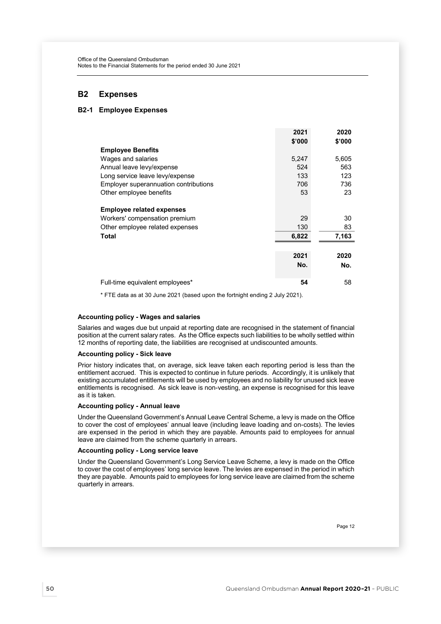# B2 Expenses

## B2-1 Employee Expenses

|                                                                                                               | 2021<br>\$'000     | 2020<br>\$'000    |
|---------------------------------------------------------------------------------------------------------------|--------------------|-------------------|
| <b>Employee Benefits</b>                                                                                      |                    |                   |
| Wages and salaries                                                                                            | 5,247              | 5,605             |
| Annual leave levy/expense                                                                                     | 524                | 563               |
| Long service leave levy/expense                                                                               | 133                | 123               |
| Employer superannuation contributions                                                                         | 706                | 736               |
| Other employee benefits                                                                                       | 53                 | 23                |
| <b>Employee related expenses</b><br>Workers' compensation premium<br>Other employee related expenses<br>Total | 29<br>130<br>6,822 | 30<br>83<br>7,163 |
|                                                                                                               |                    |                   |
|                                                                                                               | 2021<br>No.        | 2020<br>No.       |
| Full-time equivalent employees*                                                                               | 54                 | 58                |

\* FTE data as at 30 June 2021 (based upon the fortnight ending 2 July 2021).

#### Accounting policy - Wages and salaries

Salaries and wages due but unpaid at reporting date are recognised in the statement of financial position at the current salary rates. As the Office expects such liabilities to be wholly settled within 12 months of reporting date, the liabilities are recognised at undiscounted amounts.

## Accounting policy - Sick leave

Prior history indicates that, on average, sick leave taken each reporting period is less than the entitlement accrued. This is expected to continue in future periods. Accordingly, it is unlikely that existing accumulated entitlements will be used by employees and no liability for unused sick leave entitlements is recognised. As sick leave is non-vesting, an expense is recognised for this leave as it is taken.

#### Accounting policy - Annual leave

Under the Queensland Government's Annual Leave Central Scheme, a levy is made on the Office to cover the cost of employees' annual leave (including leave loading and on-costs). The levies are expensed in the period in which they are payable. Amounts paid to employees for annual leave are claimed from the scheme quarterly in arrears.

#### Accounting policy - Long service leave

Under the Queensland Government's Long Service Leave Scheme, a levy is made on the Office to cover the cost of employees' long service leave. The levies are expensed in the period in which they are payable. Amounts paid to employees for long service leave are claimed from the scheme quarterly in arrears.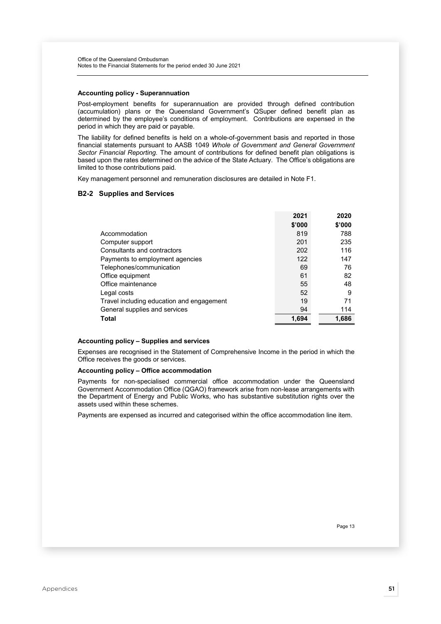#### Accounting policy - Superannuation

Post-employment benefits for superannuation are provided through defined contribution (accumulation) plans or the Queensland Government's QSuper defined benefit plan as determined by the employee's conditions of employment. Contributions are expensed in the period in which they are paid or payable.

The liability for defined benefits is held on a whole-of-government basis and reported in those financial statements pursuant to AASB 1049 Whole of Government and General Government Sector Financial Reporting. The amount of contributions for defined benefit plan obligations is based upon the rates determined on the advice of the State Actuary. The Office's obligations are limited to those contributions paid.

Key management personnel and remuneration disclosures are detailed in Note F1.

#### B2-2 Supplies and Services

|                                           | 2021   | 2020   |
|-------------------------------------------|--------|--------|
|                                           | \$'000 | \$'000 |
| Accommodation                             | 819    | 788    |
| Computer support                          | 201    | 235    |
| Consultants and contractors               | 202    | 116    |
| Payments to employment agencies           | 122    | 147    |
| Telephones/communication                  | 69     | 76     |
| Office equipment                          | 61     | 82     |
| Office maintenance                        | 55     | 48     |
| Legal costs                               | 52     | 9      |
| Travel including education and engagement | 19     | 71     |
| General supplies and services             | 94     | 114    |
| Total                                     | 1,694  | 1,686  |

#### Accounting policy – Supplies and services

Expenses are recognised in the Statement of Comprehensive Income in the period in which the Office receives the goods or services.

### Accounting policy – Office accommodation

Payments for non-specialised commercial office accommodation under the Queensland Government Accommodation Office (QGAO) framework arise from non-lease arrangements with the Department of Energy and Public Works, who has substantive substitution rights over the assets used within these schemes.

Payments are expensed as incurred and categorised within the office accommodation line item.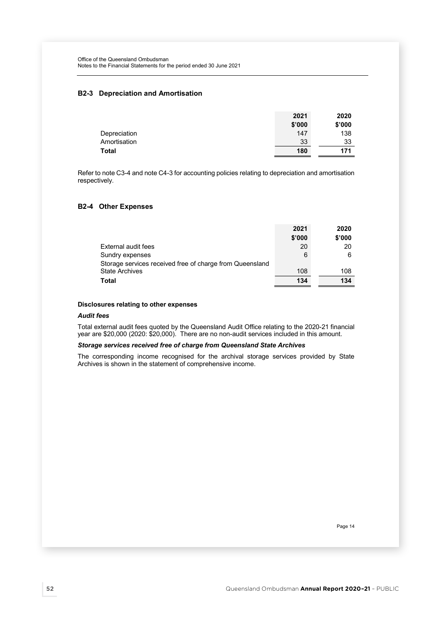## B2-3 Depreciation and Amortisation

|              | 2021   | 2020   |
|--------------|--------|--------|
|              | \$'000 | \$'000 |
| Depreciation | 147    | 138    |
| Amortisation | 33     | 33     |
| <b>Total</b> | 180    | 171    |

Refer to note C3-4 and note C4-3 for accounting policies relating to depreciation and amortisation respectively.

## B2-4 Other Expenses

|                                                          | 2021   | 2020   |
|----------------------------------------------------------|--------|--------|
|                                                          | \$'000 | \$'000 |
| External audit fees                                      | 20     | 20     |
| Sundry expenses                                          | 6      | 6      |
| Storage services received free of charge from Queensland |        |        |
| <b>State Archives</b>                                    | 108    | 108    |
| Total                                                    | 134    | 134    |

## Disclosures relating to other expenses

#### Audit fees

Total external audit fees quoted by the Queensland Audit Office relating to the 2020-21 financial year are \$20,000 (2020: \$20,000). There are no non-audit services included in this amount.

#### Storage services received free of charge from Queensland State Archives

The corresponding income recognised for the archival storage services provided by State Archives is shown in the statement of comprehensive income.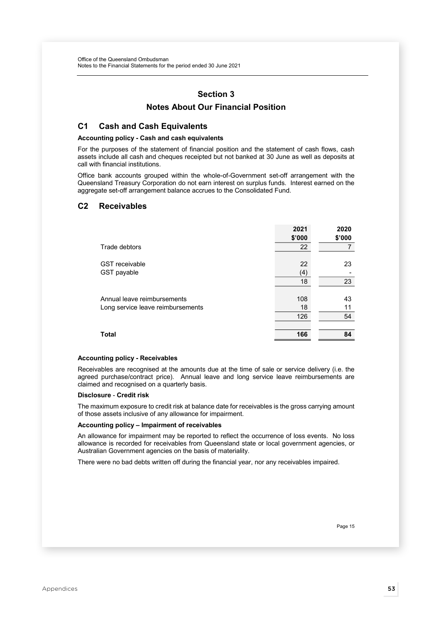# Section 3

# Notes About Our Financial Position

# C1 Cash and Cash Equivalents

#### Accounting policy - Cash and cash equivalents

For the purposes of the statement of financial position and the statement of cash flows, cash assets include all cash and cheques receipted but not banked at 30 June as well as deposits at call with financial institutions.

Office bank accounts grouped within the whole-of-Government set-off arrangement with the Queensland Treasury Corporation do not earn interest on surplus funds. Interest earned on the aggregate set-off arrangement balance accrues to the Consolidated Fund.

## C2 Receivables

|                                   | 2021   | 2020   |
|-----------------------------------|--------|--------|
|                                   | \$'000 | \$'000 |
| Trade debtors                     | 22     |        |
|                                   |        |        |
| <b>GST</b> receivable             | 22     | 23     |
| GST payable                       | (4)    |        |
|                                   | 18     | 23     |
|                                   |        |        |
| Annual leave reimbursements       | 108    | 43     |
| Long service leave reimbursements | 18     | 11     |
|                                   | 126    | 54     |
|                                   |        |        |
| <b>Total</b>                      | 166    | 84     |
|                                   |        |        |

#### Accounting policy - Receivables

Receivables are recognised at the amounts due at the time of sale or service delivery (i.e. the agreed purchase/contract price). Annual leave and long service leave reimbursements are claimed and recognised on a quarterly basis.

#### Disclosure - Credit risk

The maximum exposure to credit risk at balance date for receivables is the gross carrying amount of those assets inclusive of any allowance for impairment.

## Accounting policy – Impairment of receivables

An allowance for impairment may be reported to reflect the occurrence of loss events. No loss allowance is recorded for receivables from Queensland state or local government agencies, or Australian Government agencies on the basis of materiality.

There were no bad debts written off during the financial year, nor any receivables impaired.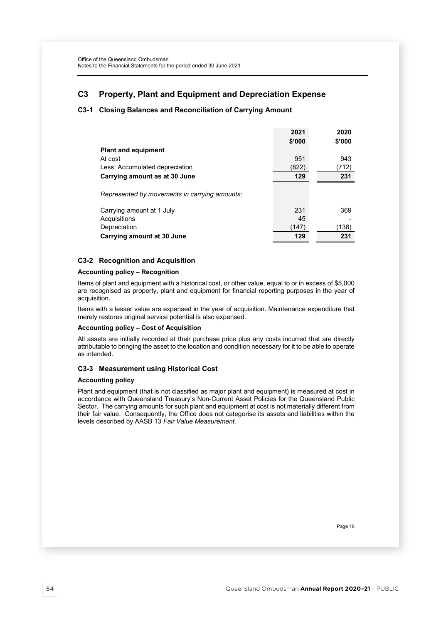# C3 Property, Plant and Equipment and Depreciation Expense

## C3-1 Closing Balances and Reconciliation of Carrying Amount

|                                               | 2021   | 2020   |
|-----------------------------------------------|--------|--------|
|                                               | \$'000 | \$'000 |
| <b>Plant and equipment</b>                    |        |        |
| At cost                                       | 951    | 943    |
| Less: Accumulated depreciation                | (822)  | (712)  |
| Carrying amount as at 30 June                 | 129    | 231    |
| Represented by movements in carrying amounts: |        |        |
| Carrying amount at 1 July                     | 231    | 369    |
| Acquisitions                                  | 45     |        |
| Depreciation                                  | (147)  | (138)  |
| Carrying amount at 30 June                    | 129    | 231    |

## C3-2 Recognition and Acquisition

## Accounting policy – Recognition

Items of plant and equipment with a historical cost, or other value, equal to or in excess of \$5,000 are recognised as property, plant and equipment for financial reporting purposes in the year of acquisition.

Items with a lesser value are expensed in the year of acquisition. Maintenance expenditure that merely restores original service potential is also expensed.

## Accounting policy – Cost of Acquisition

All assets are initially recorded at their purchase price plus any costs incurred that are directly attributable to bringing the asset to the location and condition necessary for it to be able to operate as intended.

## C3-3 Measurement using Historical Cost

#### Accounting policy

Plant and equipment (that is not classified as major plant and equipment) is measured at cost in accordance with Queensland Treasury's Non-Current Asset Policies for the Queensland Public Sector. The carrying amounts for such plant and equipment at cost is not materially different from their fair value. Consequently, the Office does not categorise its assets and liabilities within the levels described by AASB 13 Fair Value Measurement.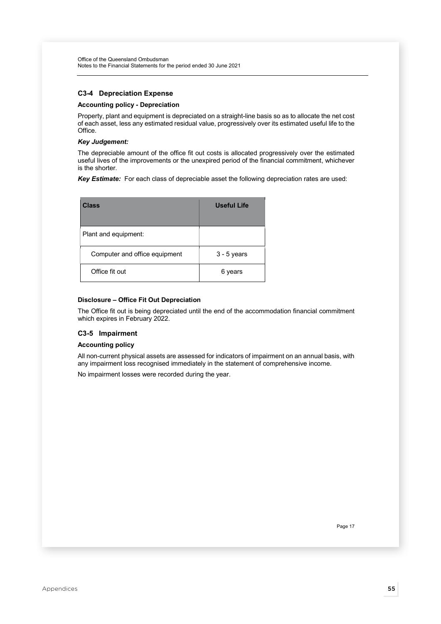## C3-4 Depreciation Expense

### Accounting policy - Depreciation

Property, plant and equipment is depreciated on a straight-line basis so as to allocate the net cost of each asset, less any estimated residual value, progressively over its estimated useful life to the Office.

#### Key Judgement:

The depreciable amount of the office fit out costs is allocated progressively over the estimated useful lives of the improvements or the unexpired period of the financial commitment, whichever is the shorter.

Key Estimate: For each class of depreciable asset the following depreciation rates are used:

| Class                         | Useful Life   |
|-------------------------------|---------------|
| Plant and equipment:          |               |
| Computer and office equipment | $3 - 5$ years |
| Office fit out                | 6 years       |

## Disclosure – Office Fit Out Depreciation

The Office fit out is being depreciated until the end of the accommodation financial commitment which expires in February 2022.

## C3-5 Impairment

#### Accounting policy

All non-current physical assets are assessed for indicators of impairment on an annual basis, with any impairment loss recognised immediately in the statement of comprehensive income.

No impairment losses were recorded during the year.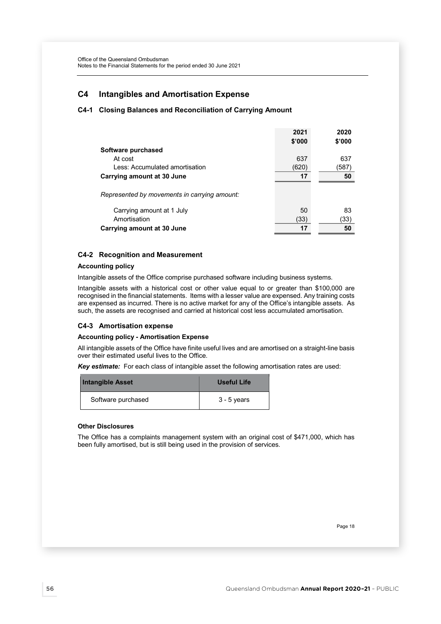# C4 Intangibles and Amortisation Expense

## C4-1 Closing Balances and Reconciliation of Carrying Amount

|                                              | 2021   | 2020   |
|----------------------------------------------|--------|--------|
|                                              | \$'000 | \$'000 |
| Software purchased                           |        |        |
| At cost                                      | 637    | 637    |
| Less: Accumulated amortisation               | (620)  | (587)  |
| Carrying amount at 30 June                   | 17     | 50     |
|                                              |        |        |
| Represented by movements in carrying amount: |        |        |
|                                              |        |        |
| Carrying amount at 1 July                    | 50     | 83     |
| Amortisation                                 | (33)   | (33)   |
| Carrying amount at 30 June                   | 17     | 50     |

## C4-2 Recognition and Measurement

#### Accounting policy

Intangible assets of the Office comprise purchased software including business systems.

Intangible assets with a historical cost or other value equal to or greater than \$100,000 are recognised in the financial statements. Items with a lesser value are expensed. Any training costs are expensed as incurred. There is no active market for any of the Office's intangible assets. As such, the assets are recognised and carried at historical cost less accumulated amortisation.

#### C4-3 Amortisation expense

## Accounting policy - Amortisation Expense

All intangible assets of the Office have finite useful lives and are amortised on a straight-line basis over their estimated useful lives to the Office.

Key estimate: For each class of intangible asset the following amortisation rates are used:

| <b>Intangible Asset</b> | Useful Life   |
|-------------------------|---------------|
| Software purchased      | $3 - 5$ years |

#### Other Disclosures

The Office has a complaints management system with an original cost of \$471,000, which has been fully amortised, but is still being used in the provision of services.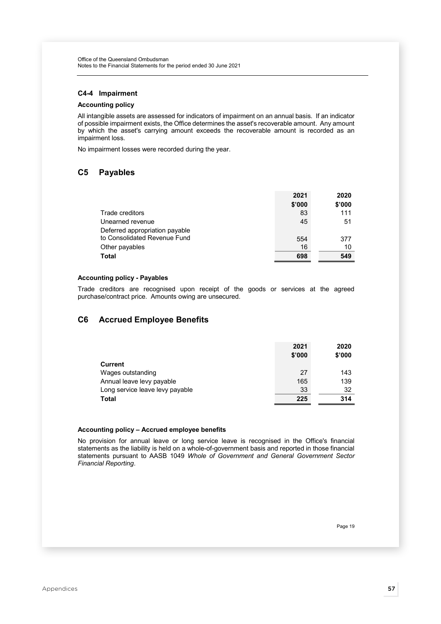## C4-4 Impairment

## Accounting policy

All intangible assets are assessed for indicators of impairment on an annual basis. If an indicator of possible impairment exists, the Office determines the asset's recoverable amount. Any amount by which the asset's carrying amount exceeds the recoverable amount is recorded as an impairment loss.

No impairment losses were recorded during the year.

## C5 Payables

|                                | 2021   | 2020   |
|--------------------------------|--------|--------|
|                                | \$'000 | \$'000 |
| Trade creditors                | 83     | 111    |
| Unearned revenue               | 45     | 51     |
| Deferred appropriation payable |        |        |
| to Consolidated Revenue Fund   | 554    | 377    |
| Other payables                 | 16     | 10     |
| <b>Total</b>                   | 698    | 549    |

### Accounting policy - Payables

Trade creditors are recognised upon receipt of the goods or services at the agreed purchase/contract price. Amounts owing are unsecured.

# C6 Accrued Employee Benefits

|                                 | 2021   | 2020   |
|---------------------------------|--------|--------|
|                                 | \$'000 | \$'000 |
| <b>Current</b>                  |        |        |
| Wages outstanding               | 27     | 143    |
| Annual leave levy payable       | 165    | 139    |
| Long service leave levy payable | 33     | 32     |
| Total                           | 225    | 314    |

#### Accounting policy – Accrued employee benefits

No provision for annual leave or long service leave is recognised in the Office's financial statements as the liability is held on a whole-of-government basis and reported in those financial statements pursuant to AASB 1049 Whole of Government and General Government Sector Financial Reporting.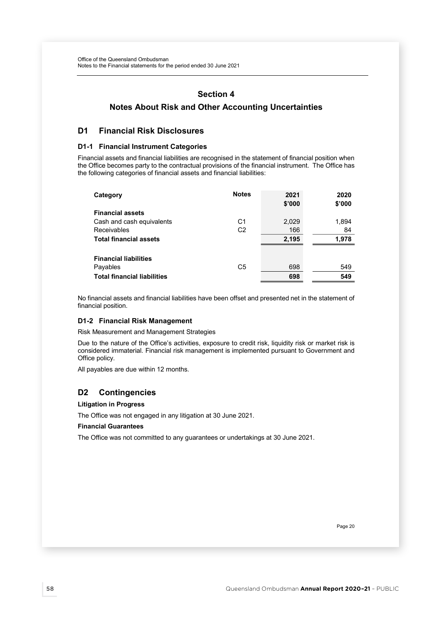## Section 4

# Notes About Risk and Other Accounting Uncertainties

## D1 Financial Risk Disclosures

## D1-1 Financial Instrument Categories

Financial assets and financial liabilities are recognised in the statement of financial position when the Office becomes party to the contractual provisions of the financial instrument. The Office has the following categories of financial assets and financial liabilities:

| Category                           | <b>Notes</b>   | 2021<br>\$'000 | 2020<br>\$'000 |
|------------------------------------|----------------|----------------|----------------|
| <b>Financial assets</b>            |                |                |                |
| Cash and cash equivalents          | C <sub>1</sub> | 2,029          | 1,894          |
| Receivables                        | C <sub>2</sub> | 166            | 84             |
| <b>Total financial assets</b>      |                | 2,195          | 1,978          |
| <b>Financial liabilities</b>       |                |                |                |
| Payables                           | C <sub>5</sub> | 698            | 549            |
| <b>Total financial liabilities</b> |                | 698            | 549            |

No financial assets and financial liabilities have been offset and presented net in the statement of financial position.

## D1-2 Financial Risk Management

Risk Measurement and Management Strategies

Due to the nature of the Office's activities, exposure to credit risk, liquidity risk or market risk is considered immaterial. Financial risk management is implemented pursuant to Government and Office policy.

All payables are due within 12 months.

# D2 Contingencies

## Litigation in Progress

The Office was not engaged in any litigation at 30 June 2021.

## Financial Guarantees

The Office was not committed to any guarantees or undertakings at 30 June 2021.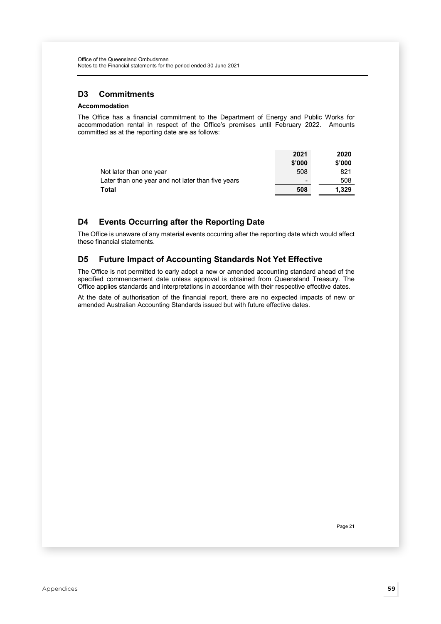# D3 Commitments

## Accommodation

The Office has a financial commitment to the Department of Energy and Public Works for accommodation rental in respect of the Office's premises until February 2022. Amounts committed as at the reporting date are as follows:

|                                                   | 2021                     | 2020   |
|---------------------------------------------------|--------------------------|--------|
|                                                   | \$'000                   | \$'000 |
| Not later than one year                           | 508                      | 821    |
| Later than one year and not later than five years | $\overline{\phantom{a}}$ | 508    |
| Total                                             | 508                      | 1.329  |

# D4 Events Occurring after the Reporting Date

The Office is unaware of any material events occurring after the reporting date which would affect these financial statements.

# D5 Future Impact of Accounting Standards Not Yet Effective

The Office is not permitted to early adopt a new or amended accounting standard ahead of the specified commencement date unless approval is obtained from Queensland Treasury. The Office applies standards and interpretations in accordance with their respective effective dates.

At the date of authorisation of the financial report, there are no expected impacts of new or amended Australian Accounting Standards issued but with future effective dates.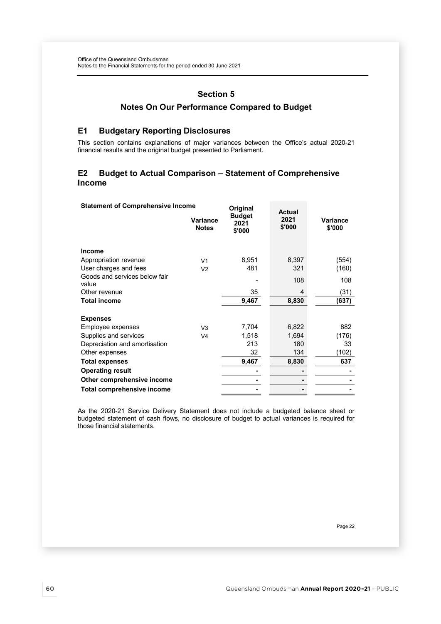# Section 5

# Notes On Our Performance Compared to Budget

## E1 Budgetary Reporting Disclosures

This section contains explanations of major variances between the Office's actual 2020-21 financial results and the original budget presented to Parliament.

## E2 Budget to Actual Comparison – Statement of Comprehensive Income

| <b>Statement of Comprehensive Income</b> |                          | Original                        | <b>Actual</b>  |                    |  |
|------------------------------------------|--------------------------|---------------------------------|----------------|--------------------|--|
|                                          | Variance<br><b>Notes</b> | <b>Budget</b><br>2021<br>\$'000 | 2021<br>\$'000 | Variance<br>\$'000 |  |
| <b>Income</b>                            |                          |                                 |                |                    |  |
| Appropriation revenue                    | V <sub>1</sub>           | 8,951                           | 8,397          | (554)              |  |
| User charges and fees                    | V <sub>2</sub>           | 481                             | 321            | (160)              |  |
| Goods and services below fair<br>value   |                          |                                 | 108            | 108                |  |
| Other revenue                            |                          | 35                              | 4              | (31)               |  |
| <b>Total income</b>                      |                          | 9,467                           | 8,830          | (637)              |  |
|                                          |                          |                                 |                |                    |  |
| <b>Expenses</b>                          |                          |                                 |                |                    |  |
| Employee expenses                        | V <sub>3</sub>           | 7,704                           | 6,822          | 882                |  |
| Supplies and services                    | V <sub>4</sub>           | 1,518                           | 1,694          | (176)              |  |
| Depreciation and amortisation            |                          | 213                             | 180            | 33                 |  |
| Other expenses                           |                          | 32                              | 134            | (102)              |  |
| <b>Total expenses</b>                    |                          | 9,467                           | 8,830          | 637                |  |
| <b>Operating result</b>                  |                          |                                 |                |                    |  |
| Other comprehensive income               |                          |                                 |                |                    |  |
| <b>Total comprehensive income</b>        |                          |                                 |                |                    |  |

As the 2020-21 Service Delivery Statement does not include a budgeted balance sheet or budgeted statement of cash flows, no disclosure of budget to actual variances is required for those financial statements.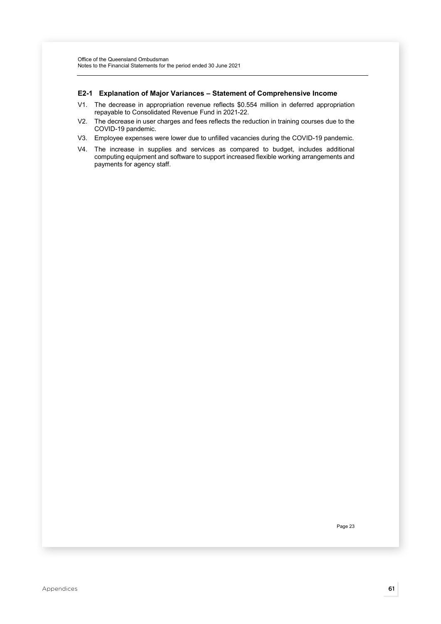#### E2-1 Explanation of Major Variances – Statement of Comprehensive Income

- V1. The decrease in appropriation revenue reflects \$0.554 million in deferred appropriation repayable to Consolidated Revenue Fund in 2021-22.
- V2. The decrease in user charges and fees reflects the reduction in training courses due to the COVID-19 pandemic.
- V3. Employee expenses were lower due to unfilled vacancies during the COVID-19 pandemic.
- V4. The increase in supplies and services as compared to budget, includes additional computing equipment and software to support increased flexible working arrangements and payments for agency staff.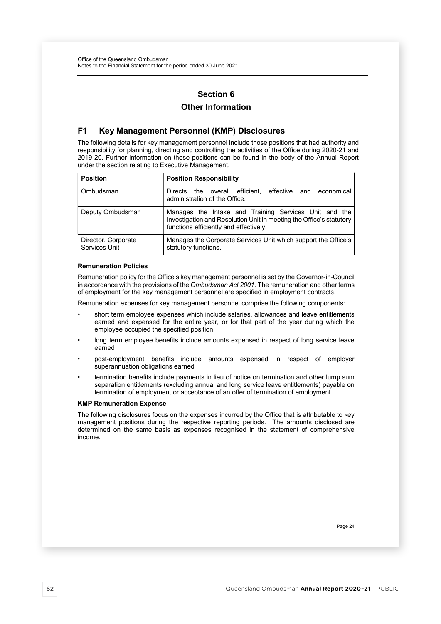# Section 6

# Other Information

# F1 Key Management Personnel (KMP) Disclosures

The following details for key management personnel include those positions that had authority and responsibility for planning, directing and controlling the activities of the Office during 2020-21 and 2019-20. Further information on these positions can be found in the body of the Annual Report under the section relating to Executive Management.

| <b>Position</b>                      | <b>Position Responsibility</b>                                                                                                                                         |  |  |
|--------------------------------------|------------------------------------------------------------------------------------------------------------------------------------------------------------------------|--|--|
| Ombudsman                            | Directs the overall efficient, effective and economical<br>administration of the Office.                                                                               |  |  |
| Deputy Ombudsman                     | Manages the Intake and Training Services Unit and the<br>Investigation and Resolution Unit in meeting the Office's statutory<br>functions efficiently and effectively. |  |  |
| Director, Corporate<br>Services Unit | Manages the Corporate Services Unit which support the Office's<br>statutory functions.                                                                                 |  |  |

#### Remuneration Policies

Remuneration policy for the Office's key management personnel is set by the Governor-in-Council in accordance with the provisions of the Ombudsman Act 2001. The remuneration and other terms of employment for the key management personnel are specified in employment contracts.

Remuneration expenses for key management personnel comprise the following components:

- short term employee expenses which include salaries, allowances and leave entitlements earned and expensed for the entire year, or for that part of the year during which the employee occupied the specified position
- long term employee benefits include amounts expensed in respect of long service leave earned
- post-employment benefits include amounts expensed in respect of employer superannuation obligations earned
- termination benefits include payments in lieu of notice on termination and other lump sum separation entitlements (excluding annual and long service leave entitlements) payable on termination of employment or acceptance of an offer of termination of employment.

#### KMP Remuneration Expense

The following disclosures focus on the expenses incurred by the Office that is attributable to key management positions during the respective reporting periods. The amounts disclosed are determined on the same basis as expenses recognised in the statement of comprehensive income.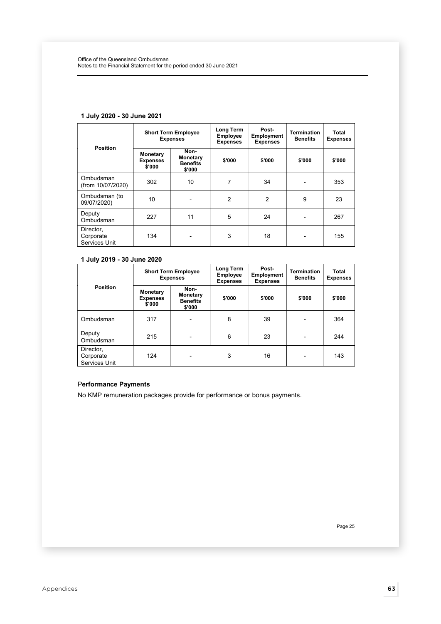|                                         | <b>Short Term Employee</b><br><b>Expenses</b> |                                                      | Long Term<br><b>Employee</b><br><b>Expenses</b> | Post-<br><b>Employment</b><br><b>Expenses</b> | <b>Termination</b><br><b>Benefits</b> | Total<br><b>Expenses</b> |
|-----------------------------------------|-----------------------------------------------|------------------------------------------------------|-------------------------------------------------|-----------------------------------------------|---------------------------------------|--------------------------|
| <b>Position</b>                         | Monetary<br><b>Expenses</b><br>\$'000         | Non-<br><b>Monetary</b><br><b>Benefits</b><br>\$'000 | \$'000                                          | \$'000                                        | \$'000                                | \$'000                   |
| Ombudsman<br>(from 10/07/2020)          | 302                                           | 10                                                   | 7                                               | 34                                            |                                       | 353                      |
| Ombudsman (to<br>09/07/2020)            | 10                                            |                                                      | $\overline{2}$                                  | $\overline{2}$                                | 9                                     | 23                       |
| Deputy<br>Ombudsman                     | 227                                           | 11                                                   | 5                                               | 24                                            |                                       | 267                      |
| Director,<br>Corporate<br>Services Unit | 134                                           | -                                                    | 3                                               | 18                                            |                                       | 155                      |

## 1 July 2020 - 30 June 2021

# 1 July 2019 - 30 June 2020

| <b>Position</b>                         | <b>Short Term Employee</b><br><b>Expenses</b> |                                               | Long Term<br>Employee<br><b>Expenses</b> | Post-<br><b>Employment</b><br><b>Expenses</b> | <b>Termination</b><br><b>Benefits</b> | Total<br><b>Expenses</b> |
|-----------------------------------------|-----------------------------------------------|-----------------------------------------------|------------------------------------------|-----------------------------------------------|---------------------------------------|--------------------------|
|                                         | <b>Monetary</b><br><b>Expenses</b><br>\$'000  | Non-<br>Monetary<br><b>Benefits</b><br>\$'000 | \$'000                                   | \$'000                                        | \$'000                                | \$'000                   |
| Ombudsman                               | 317                                           | $\overline{\phantom{a}}$                      | 8                                        | 39                                            |                                       | 364                      |
| Deputy<br>Ombudsman                     | 215                                           | $\overline{\phantom{0}}$                      | 6                                        | 23                                            |                                       | 244                      |
| Director,<br>Corporate<br>Services Unit | 124                                           | $\overline{\phantom{0}}$                      | 3                                        | 16                                            |                                       | 143                      |

## Performance Payments

No KMP remuneration packages provide for performance or bonus payments.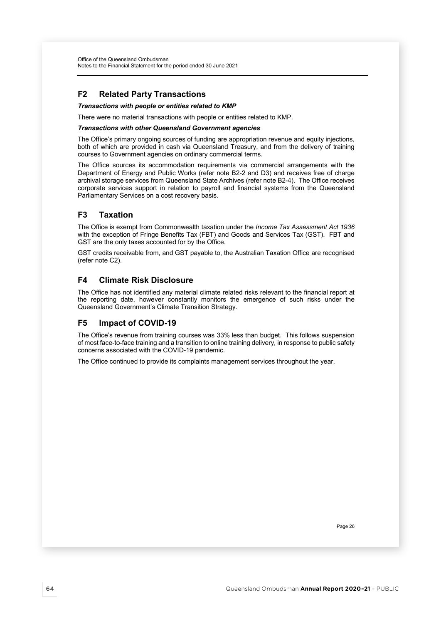# F2 Related Party Transactions

## Transactions with people or entities related to KMP

There were no material transactions with people or entities related to KMP.

#### Transactions with other Queensland Government agencies

The Office's primary ongoing sources of funding are appropriation revenue and equity injections, both of which are provided in cash via Queensland Treasury, and from the delivery of training courses to Government agencies on ordinary commercial terms.

The Office sources its accommodation requirements via commercial arrangements with the Department of Energy and Public Works (refer note B2-2 and D3) and receives free of charge archival storage services from Queensland State Archives (refer note B2-4). The Office receives corporate services support in relation to payroll and financial systems from the Queensland Parliamentary Services on a cost recovery basis.

# F3 Taxation

The Office is exempt from Commonwealth taxation under the Income Tax Assessment Act 1936 with the exception of Fringe Benefits Tax (FBT) and Goods and Services Tax (GST). FBT and GST are the only taxes accounted for by the Office.

GST credits receivable from, and GST payable to, the Australian Taxation Office are recognised (refer note C2).

# F4 Climate Risk Disclosure

The Office has not identified any material climate related risks relevant to the financial report at the reporting date, however constantly monitors the emergence of such risks under the Queensland Government's Climate Transition Strategy.

# F5 Impact of COVID-19

The Office's revenue from training courses was 33% less than budget. This follows suspension of most face-to-face training and a transition to online training delivery, in response to public safety concerns associated with the COVID-19 pandemic.

The Office continued to provide its complaints management services throughout the year.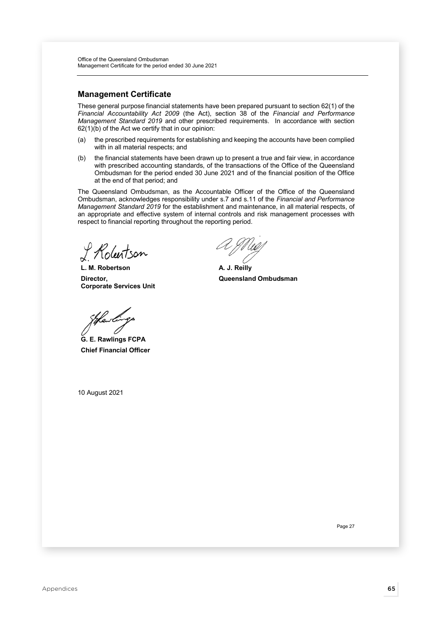# Management Certificate

These general purpose financial statements have been prepared pursuant to section 62(1) of the Financial Accountability Act 2009 (the Act), section 38 of the Financial and Performance Management Standard 2019 and other prescribed requirements. In accordance with section 62(1)(b) of the Act we certify that in our opinion:

- (a) the prescribed requirements for establishing and keeping the accounts have been complied with in all material respects; and
- (b) the financial statements have been drawn up to present a true and fair view, in accordance with prescribed accounting standards, of the transactions of the Office of the Queensland Ombudsman for the period ended 30 June 2021 and of the financial position of the Office at the end of that period; and

The Queensland Ombudsman, as the Accountable Officer of the Office of the Queensland Ombudsman, acknowledges responsibility under s.7 and s.11 of the Financial and Performance Management Standard 2019 for the establishment and maintenance, in all material respects, of an appropriate and effective system of internal controls and risk management processes with respect to financial reporting throughout the reporting period.

tson

L. M. Robertson Director, Corporate Services Unit

G. E. Rawlings FCPA Chief Financial Officer

10 August 2021

A. J. Reilly Queensland Ombudsman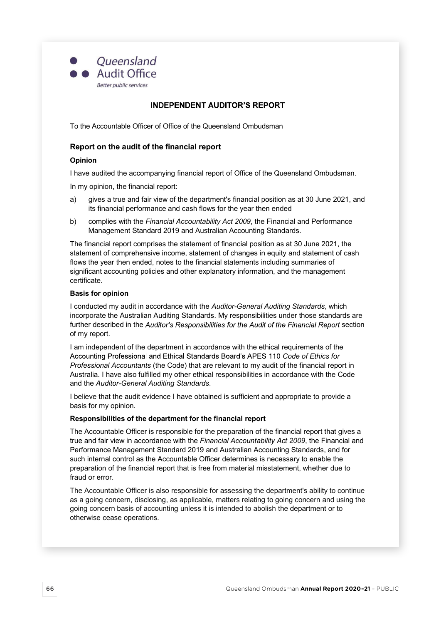

## **INDEPENDENT AUDITOR'S REPORT**

To the Accountable Officer of Office of the Queensland Ombudsman

## Report on the audit of the financial report

### Opinion

I have audited the accompanying financial report of Office of the Queensland Ombudsman.

In my opinion, the financial report:

- a) gives a true and fair view of the department's financial position as at 30 June 2021, and its financial performance and cash flows for the year then ended
- b) complies with the Financial Accountability Act 2009, the Financial and Performance Management Standard 2019 and Australian Accounting Standards.

The financial report comprises the statement of financial position as at 30 June 2021, the statement of comprehensive income, statement of changes in equity and statement of cash flows the year then ended, notes to the financial statements including summaries of significant accounting policies and other explanatory information, and the management certificate.

#### Basis for opinion

I conducted my audit in accordance with the Auditor-General Auditing Standards, which incorporate the Australian Auditing Standards. My responsibilities under those standards are further described in the Auditor's Responsibilities for the Audit of the Financial Report section of my report.

I am independent of the department in accordance with the ethical requirements of the Accounting Professional and Ethical Standards Board's APES 110 Code of Ethics for Professional Accountants (the Code) that are relevant to my audit of the financial report in Australia. I have also fulfilled my other ethical responsibilities in accordance with the Code and the Auditor-General Auditing Standards.

I believe that the audit evidence I have obtained is sufficient and appropriate to provide a basis for my opinion.

### Responsibilities of the department for the financial report

The Accountable Officer is responsible for the preparation of the financial report that gives a true and fair view in accordance with the Financial Accountability Act 2009, the Financial and Performance Management Standard 2019 and Australian Accounting Standards, and for such internal control as the Accountable Officer determines is necessary to enable the preparation of the financial report that is free from material misstatement, whether due to fraud or error.

The Accountable Officer is also responsible for assessing the department's ability to continue as a going concern, disclosing, as applicable, matters relating to going concern and using the going concern basis of accounting unless it is intended to abolish the department or to otherwise cease operations.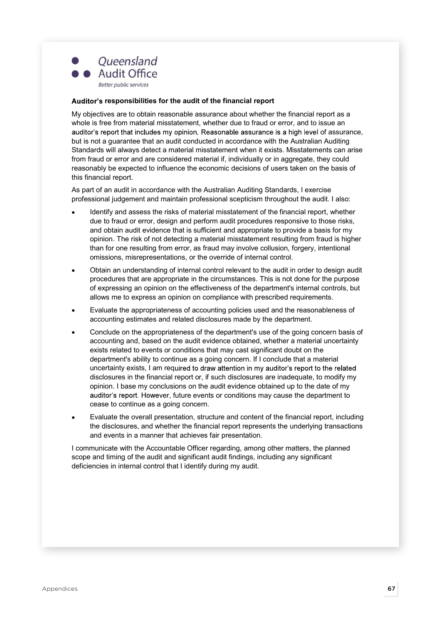

### Auditor's responsibilities for the audit of the financial report

My objectives are to obtain reasonable assurance about whether the financial report as a whole is free from material misstatement, whether due to fraud or error, and to issue an auditor's report that includes my opinion. Reasonable assurance is a high level of assurance, but is not a guarantee that an audit conducted in accordance with the Australian Auditing Standards will always detect a material misstatement when it exists. Misstatements can arise from fraud or error and are considered material if, individually or in aggregate, they could reasonably be expected to influence the economic decisions of users taken on the basis of this financial report.

As part of an audit in accordance with the Australian Auditing Standards, I exercise professional judgement and maintain professional scepticism throughout the audit. I also:

- Identify and assess the risks of material misstatement of the financial report, whether due to fraud or error, design and perform audit procedures responsive to those risks, and obtain audit evidence that is sufficient and appropriate to provide a basis for my opinion. The risk of not detecting a material misstatement resulting from fraud is higher than for one resulting from error, as fraud may involve collusion, forgery, intentional omissions, misrepresentations, or the override of internal control.
- Obtain an understanding of internal control relevant to the audit in order to design audit procedures that are appropriate in the circumstances. This is not done for the purpose of expressing an opinion on the effectiveness of the department's internal controls, but allows me to express an opinion on compliance with prescribed requirements.
- Evaluate the appropriateness of accounting policies used and the reasonableness of accounting estimates and related disclosures made by the department.
- Conclude on the appropriateness of the department's use of the going concern basis of accounting and, based on the audit evidence obtained, whether a material uncertainty exists related to events or conditions that may cast significant doubt on the department's ability to continue as a going concern. If I conclude that a material uncertainty exists, I am required to draw attention in my auditor's report to the related disclosures in the financial report or, if such disclosures are inadequate, to modify my opinion. I base my conclusions on the audit evidence obtained up to the date of my auditor's report. However, future events or conditions may cause the department to cease to continue as a going concern.
- Evaluate the overall presentation, structure and content of the financial report, including the disclosures, and whether the financial report represents the underlying transactions and events in a manner that achieves fair presentation.

I communicate with the Accountable Officer regarding, among other matters, the planned scope and timing of the audit and significant audit findings, including any significant deficiencies in internal control that I identify during my audit.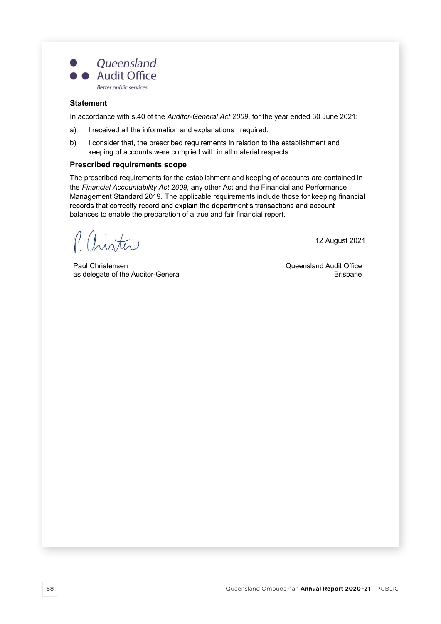

## **Statement**

In accordance with s.40 of the Auditor-General Act 2009, for the year ended 30 June 2021:

- a) I received all the information and explanations I required.
- b) I consider that, the prescribed requirements in relation to the establishment and keeping of accounts were complied with in all material respects.

## Prescribed requirements scope

The prescribed requirements for the establishment and keeping of accounts are contained in the Financial Accountability Act 2009, any other Act and the Financial and Performance Management Standard 2019. The applicable requirements include those for keeping financial records that correctly record and explain the department's transactions and account balances to enable the preparation of a true and fair financial report.

P. Chister

Paul Christensen Queensland Audit Office as delegate of the Auditor-General

12 August 2021